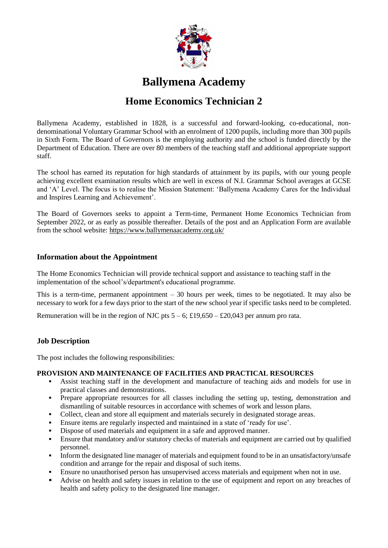

# **Ballymena Academy**

## **Home Economics Technician 2**

Ballymena Academy, established in 1828, is a successful and forward-looking, co-educational, nondenominational Voluntary Grammar School with an enrolment of 1200 pupils, including more than 300 pupils in Sixth Form. The Board of Governors is the employing authority and the school is funded directly by the Department of Education. There are over 80 members of the teaching staff and additional appropriate support staff.

The school has earned its reputation for high standards of attainment by its pupils, with our young people achieving excellent examination results which are well in excess of N.I. Grammar School averages at GCSE and 'A' Level. The focus is to realise the Mission Statement: 'Ballymena Academy Cares for the Individual and Inspires Learning and Achievement'.

The Board of Governors seeks to appoint a Term-time, Permanent Home Economics Technician from September 2022, or as early as possible thereafter. Details of the post and an Application Form are available from the school website:<https://www.ballymenaacademy.org.uk/>

## **Information about the Appointment**

The Home Economics Technician will provide technical support and assistance to teaching staff in the implementation of the school's/department's educational programme.

This is a term-time, permanent appointment – 30 hours per week, times to be negotiated. It may also be necessary to work for a few days prior to the start of the new school year if specific tasks need to be completed.

Remuneration will be in the region of NJC pts  $5 - 6$ ; £19,650 – £20,043 per annum pro rata.

## **Job Description**

The post includes the following responsibilities:

## **PROVISION AND MAINTENANCE OF FACILITIES AND PRACTICAL RESOURCES**

- Assist teaching staff in the development and manufacture of teaching aids and models for use in practical classes and demonstrations.
- Prepare appropriate resources for all classes including the setting up, testing, demonstration and dismantling of suitable resources in accordance with schemes of work and lesson plans.
- Collect, clean and store all equipment and materials securely in designated storage areas.
- Ensure items are regularly inspected and maintained in a state of 'ready for use'.
- Dispose of used materials and equipment in a safe and approved manner.
- Ensure that mandatory and/or statutory checks of materials and equipment are carried out by qualified personnel.
- Inform the designated line manager of materials and equipment found to be in an unsatisfactory/unsafe condition and arrange for the repair and disposal of such items.
- Ensure no unauthorised person has unsupervised access materials and equipment when not in use.
- Advise on health and safety issues in relation to the use of equipment and report on any breaches of health and safety policy to the designated line manager.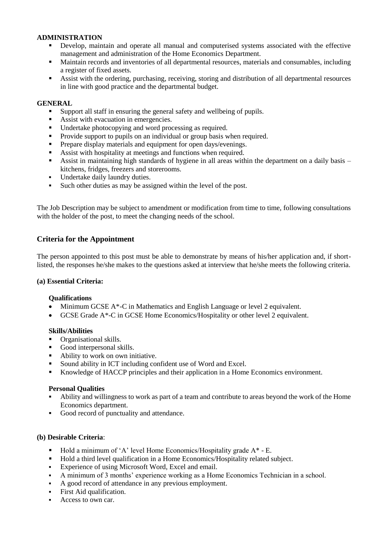### **ADMINISTRATION**

- Develop, maintain and operate all manual and computerised systems associated with the effective management and administration of the Home Economics Department.
- Maintain records and inventories of all departmental resources, materials and consumables, including a register of fixed assets.
- Assist with the ordering, purchasing, receiving, storing and distribution of all departmental resources in line with good practice and the departmental budget.

#### **GENERAL**

- Support all staff in ensuring the general safety and wellbeing of pupils.<br>Assist with evacuation in emergencies
- Assist with evacuation in emergencies.
- Undertake photocopying and word processing as required.<br>■ Provide support to pupils on an individual or group basis w
- Provide support to pupils on an individual or group basis when required.
- **Prepare display materials and equipment for open days/evenings.**
- Assist with hospitality at meetings and functions when required.
- Assist in maintaining high standards of hygiene in all areas within the department on a daily basis kitchens, fridges, freezers and storerooms.
- Undertake daily laundry duties.
- Such other duties as may be assigned within the level of the post.

The Job Description may be subject to amendment or modification from time to time, following consultations with the holder of the post, to meet the changing needs of the school.

## **Criteria for the Appointment**

The person appointed to this post must be able to demonstrate by means of his/her application and, if shortlisted, the responses he/she makes to the questions asked at interview that he/she meets the following criteria.

#### **(a) Essential Criteria:**

#### **Qualifications**

- Minimum GCSE A\*-C in Mathematics and English Language or level 2 equivalent.
- GCSE Grade A\*-C in GCSE Home Economics/Hospitality or other level 2 equivalent.

#### **Skills/Abilities**

- **•** Organisational skills.
- Good interpersonal skills.<br>Ability to work on own in
- Ability to work on own initiative.
- Sound ability in ICT including confident use of Word and Excel.
- Knowledge of HACCP principles and their application in a Home Economics environment.

#### **Personal Qualities**

- Ability and willingness to work as part of a team and contribute to areas beyond the work of the Home Economics department.
- Good record of punctuality and attendance.

#### **(b) Desirable Criteria**:

- Hold a minimum of 'A' level Home Economics/Hospitality grade A\* E.
- Hold a third level qualification in a Home Economics/Hospitality related subject.
- Experience of using Microsoft Word, Excel and email.
- A minimum of 3 months' experience working as a Home Economics Technician in a school.
- A good record of attendance in any previous employment.
- First Aid qualification.
- Access to own car.